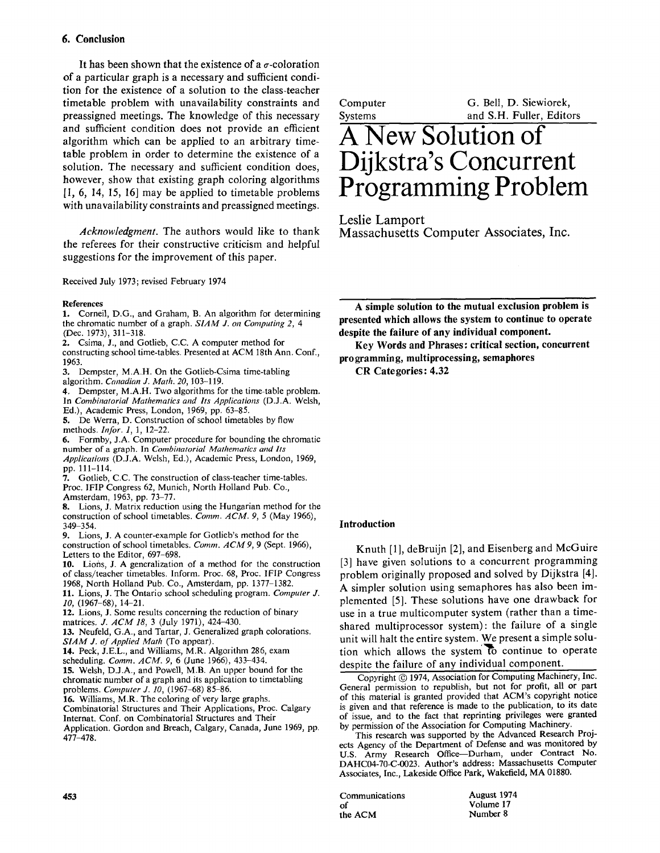## **6. Conclusion**

It has been shown that the existence of a  $\sigma$ -coloration of a particular graph is a necessary and sufficient condition for the existence of a solution to the class-teacher timetable problem with unavailability constraints and preassigned meetings. The knowledge of this necessary and sufficient condition does not provide an efficient algorithm which can be applied to an arbitrary timetable problem in order to determine the existence of a solution. The necessary and sufficient condition does, however, show that existing graph coloring algorithms [1, 6, 14, 15, 16] may be applied to timetable problems with unavailability constraints and preassigned meetings.

*Acknowledgment.* The authors would like to thank the referees for their constructive criticism and helpful suggestions for the improvement of this paper.

Received July 1973; revised February 1974

#### **References**

- 1. Corneil, D.G., and Graham, B. An algorithm for determining the chromatic number of a graph. *SlAM J. on Computing 2, 4*  (Dec. 1973), 311-318.
- 2. Csima, J., and Gotlieb, C.C. A computer method for constructing school time-tables. Presented at ACM 18th Ann. Conf., 1963.

3. Dernpster, M.A.H. On the Gotlieb-Csima time-tabling algorithm. *Canadian J. Math. 20,* 103-119.

4. Dempster, M.A.H. Two algorithms for the time-table problem. In *Combinatorial Mathematics and Its Applications* (D.J.A. Welsh, Ed.), Academic Press, London, 1969, pp. 63-85.

5. De Werra, D. Construction of school timetables by flow methods, *lnfor.* 1, 1, 12-22.

6. Formby, J.A. Computer procedure for bounding the chromatic number of a graph. In *Combinatorial Mathematics and Its* 

*Applications* (D.J.A. Welsh, Ed.), Academic Press, London, 1969, pp. 111-114.

7. Gotlieb, C.C. The construction of class-teacher time-tables. Proc. IFIP Congress 62, Munich, North Holland Pub. Co.,

Amsterdam, 1963, pp. 73-77.

8. Lions, J. Matrix reduction using the Hungarian method for the construction of school timetables. *Comm. ACM.* 9, 5 (May 1966), 349-354.

9. Lions, J. A counter-example for Gotlieb's method for the construction of school timetables. *Comm. ACM* 9, 9 (Sept. 1966), Letters to the Editor, 697-698.

10. Lions, J. A generalization of a method for the construction of class/teacher timetables. Inform. Proc. 68, Proc. IFIP Congress 1968, North Holland Pub. Co., Amsterdam, pp. 1377-1382.

11. Lions, J. The Ontario school scheduling program. *Computer J. 10,* (1967-68), 14-21.

12. Lions, J. Some results concerning the reduction of binary matrices. J. *ACM 18,* 3 (July 1971), 424-430.

13. Neufeld, G.A., and Tartar, J. Generalized graph colorations. *SIAM J, of Applied Math* (To appear).

14. Peck, J.E.L., and Williams, M,R. Algorithm 286, exam

scheduling. *Comm. ACM.* 9, 6 (June 1966), 433-434. IS. Welsh, D.J.A., and Powell, M.B. An upper bound for the chromatic number of a graph and its application to timetabling problems. *Computer J. 10,* (1967-68) 85-86.

16. Williams, M.R. The coloring of very large graphs.

Combinatorial Structures and Their Applications, Proc. Calgary Internat. Conf. on Combinatorial Structures and Their Application. Gordon and Breach, Calgary, Canada, June 1969, pp.

477-478.

Computer Systems

G. Bell, D. Siewiorek, and S.H. Fuller, Editors

# **A New Solution of Dijkstra's Concurrent Programming Problem**

**Leslie Lamport Massachusetts Computer Associates, Inc.** 

**A simple solution to the mutual exclusion problem is presented which allows the system to continue to operate despite the failure of any individual component.** 

**Key Words and Phrases: critical section, concurrent programming, multiprocessing, semaphores** 

**CR Categories: 4.32** 

### **Introduction**

Knuth [1], deBruijn [2], and Eisenberg and McGuire [3] have given solutions to a concurrent programming problem originally proposed and solved by Dijkstra [4]. A simpler solution using semaphores has also been implemented [5]. These solutions have one drawback for use in a true multicomputer system (rather than a timeshared multiprocessor system): the failure of a single unit will halt the entire system. We present a simple solution which allows the system to continue to operate despite the failure of any individual component.

Copyright © 1974, Association for Computing Machinery, Inc. General permission to republish, but not for profit, all or part of this material is granted provided that ACM's copyright notice is given and that reference is made to the publication, to its date of issue, and to the fact that reprinting privileges were granted by permission of the Association for Computing Machinery.

This research was supported by the Advanced Research Projects Agency of the Department of Defense and was monitored by U.S. Army Research Office-Durham, under Contract No. *DAHC04-70-C-O023.* Author's address: Massachusetts Computer Associates, Inc., Lakeside Office Park, Wakefield, MA 01880.

Communications August 1974 of Volume 17<br>the ACM Number 8 the ACM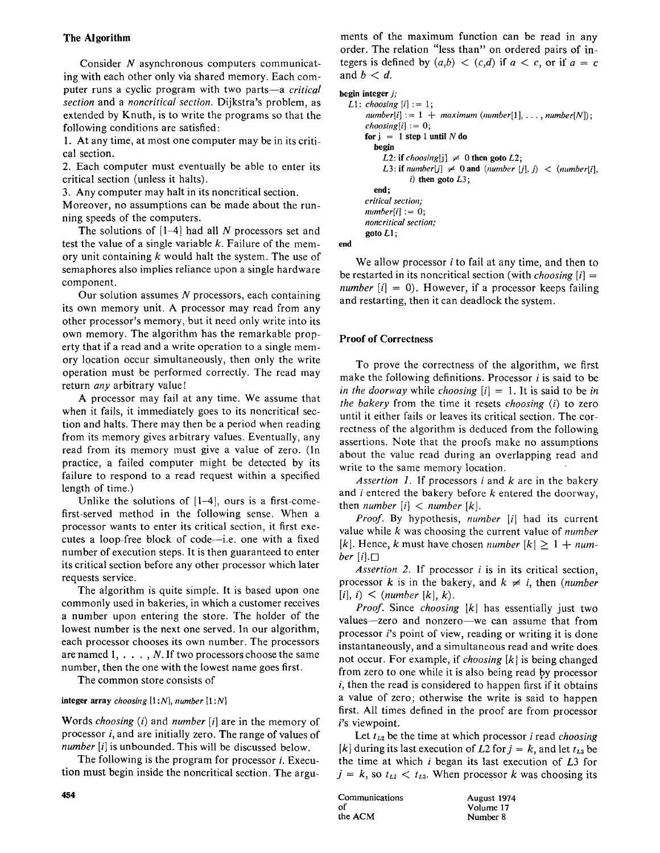# **The Algorithm**

Consider N asynchronous computers communicating with each other only via shared memory. Each computer runs a cyclic program with two parts-a critical *section* and a *noncritical section.* Dijkstra's problem, as extended by Knuth, is to write the programs so that the following conditions are satisfied:

1. At any time, at most one computer may be in its critical section.

2. Each computer must eventually be able to enter its critical section (unless it halts).

3. Any computer may halt in its noncritical section.

Moreover, no assumptions can be made about the running speeds of the computers.

The solutions of  $[1-4]$  had all N processors set and test the value of a single variable  $k$ . Failure of the memory unit containing  $k$  would halt the system. The use of semaphores also implies reliance upon a single hardware component.

Our solution assumes  $N$  processors, each containing its own memory unit. A processor may read from any other processor's memory, but it need only write into its own memory. The algorithm has the remarkable property that if a read and a write operation to a single memory location occur simultaneously, then only the write operation must be performed correctly. The read may return *any* arbitrary value!

A processor may fail at any time. We assume that when it fails, it immediately goes to its noncritical section and halts. There may then be a period when reading from its memory gives arbitrary values. Eventually, any read from its memory must give a value of zero. (In practice, a failed computer might be detected by its failure to respond to a read request within a specified length of time.)

Unlike the solutions of  $[1-4]$ , ours is a first-comefirst-served method in the following sense. When a processor wants to enter its critical section, it first executes a loop-free block of code-i.e. one with a fixed number of execution steps. It is then guaranteed to enter its critical section before any other processor which later requests service.

The algorithm is quite simple. It is based upon one commonly used in bakeries, in which a customer receives a number upon entering the store. The holder of the lowest number is the next one served. In our algorithm, each processor chooses its own number. The processors are named  $1, \ldots, N$ . If two processors choose the same number, then the one with the lowest name goes first.

The common store consists of

## $\text{integer array choosing } [1:N], \text{ number } [1:N]$

Words *choosing (i)* and *number* [i] are in the memory of processor i, and are initially zero. The range of values of *number* [i] is unbounded. This will be discussed below.

The following is the program for processor *i*. Execution must begin inside the noncritical section. The arguments of the maximum function can be read in any order. The relation "less than" on ordered pairs of integers is defined by  $(a,b) < (c,d)$  if  $a < c$ , or if  $a = c$ and  $b < d$ 

```
begin integer j; 
  L1: choosing [i] := 1;
      number[i] := 1 + maximum(number[1], \ldots, number[N]);
      choosing[i] := 0;for j = 1 step 1 until N do
         hegin
           L2: if choosing[j] \neq 0 then goto L2;
           L3: if number[j] \neq 0 and (number[j], j) < (number[i], j)i) then goto L3;
         end; 
      critical section; 
      number[i] := 0;noncritical section; 
      goto L1;
```

```
end
```
We allow processor  $i$  to fail at any time, and then to be restarted in its noncritical section (with *choosing*  $[i] =$ *number*  $[i] = 0$ . However, if a processor keeps failing and restarting, then it can deadlock the system.

# **Proof of Correctness**

To prove the correctness of the algorithm, we first make the following definitions. Processor  $i$  is said to be *in the doorway* while *choosing*  $[i] = 1$ . It is said to be *in the bakery* from the time it resets *choosing (i)* to zero until it either fails or leaves its critical section. The correctness of the algorithm is deduced from the following assertions. Note that the proofs make no assumptions about the value read during an overlapping read and write to the same memory location.

*Assertion 1.* If processors i and k are in the bakery and  $i$  entered the bakery before  $k$  entered the doorway, then *number*  $[i] <$  *number*  $[k]$ .

*Proof.* By hypothesis, *number* [i] had its current value while k was choosing the current value of *number*  [k]. Hence, k must have chosen *number*  $[k] \geq 1 + num$ *ber*  $[i]$ . $\Box$ 

*Assertion 2.* If processor i is in its critical section, processor k is in the bakery, and  $k \neq i$ , then *(number*  $[i], i)$  < (number  $[k], k$ ).

*Proof.* Since *choosing* [k] has essentially just two values-zero and nonzero-we can assume that from processor i's point of view, reading or writing it is done instantaneously, and a simultaneous read and write does not occur. For example, if *choosing* [k] is being changed from zero to one while it is also being read by processor  $i$ , then the read is considered to happen first if it obtains a value of zero; otherwise the write is said to happen first. All times defined in the proof are from processor i's viewpoint.

Let  $t_{L2}$  be the time at which processor *i* read *choosing* [k] during its last execution of L2 for  $j = k$ , and let  $t_{L3}$  be the time at which i began its last execution of L3 for  $j = k$ , so  $t_{L2} < t_{L3}$ . When processor k was choosing its

```
Communications August 1974 
the ACM
```
Volume 17<br>Number 8